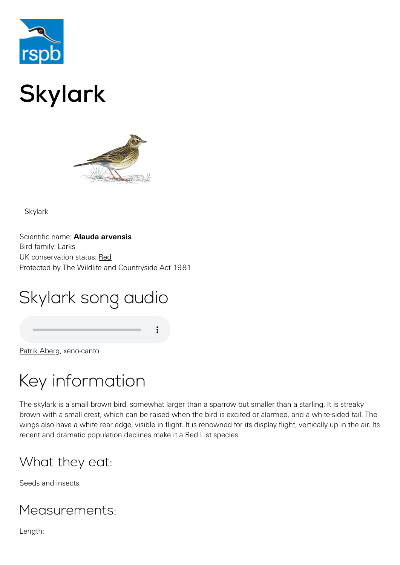

# Skylark



Skylark

Scientific name: **Alauda arvensis** Bird family: [Larks](https://www.rspb.org.uk/birds-and-wildlife/wildlife-guides/bird-a-z/lark-family/) UK conservation status: [Red](https://www.rspb.org.uk/birds-and-wildlife/wildlife-guides/uk-conservation-status-explained/) Protected by [The Wildlife and Countryside Act 1981](https://www.rspb.org.uk/birds-and-wildlife/advice/wildlife-and-the-law/wildlife-and-countryside-act/)

# Skylark song audio

[Patrik Aberg,](http://www.xeno-canto.org/27004) xeno-canto

### Key information

The skylark is a small brown bird, somewhat larger than a sparrow but smaller than a starling. It is streaky brown with a small crest, which can be raised when the bird is excited or alarmed, and a white-sided tail. The wings also have a white rear edge, visible in flight. It is renowned for its display flight, vertically up in the air. Its recent and dramatic population declines make it a Red List species.

### What they eat:

Seeds and insects.

#### Measurements:

Length: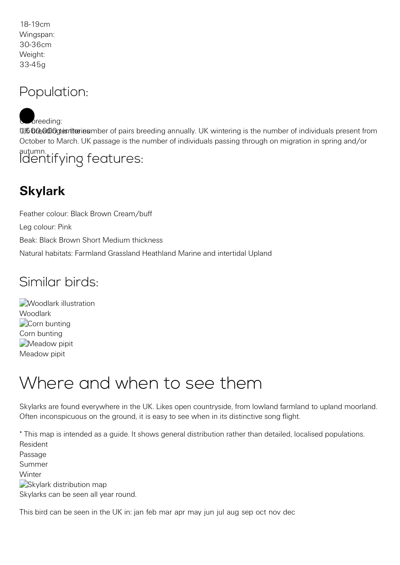18-19cm Wingspan: 30-36cm Weight: 33-45g

#### Population:

U. 600,000 territuries under of pairs breeding annually. UK wintering is the number of individuals present from October to March. UK passage is the number of individuals passing through on migration in spring and/or autumn.  $b$  reeding: Identifying features:

### **Skylark**

Feather colour: Black Brown Cream/buff Leg colour: Pink Beak: Black Brown Short Medium thickness Natural habitats: Farmland Grassland Heathland Marine and intertidal Upland

#### Similar birds:

**[Woodlark illustration](https://www.rspb.org.uk/birds-and-wildlife/wildlife-guides/bird-a-z/woodlark/)** Woodlark [Corn bunting](https://www.rspb.org.uk/birds-and-wildlife/wildlife-guides/bird-a-z/corn-bunting/) Corn bunting Meadow pipit [Meadow pipit](https://www.rspb.org.uk/birds-and-wildlife/wildlife-guides/bird-a-z/meadow-pipit/)

### Where and when to see them

Skylarks are found everywhere in the UK. Likes open countryside, from lowland farmland to upland moorland. Often inconspicuous on the ground, it is easy to see when in its distinctive song flight.

\* This map is intended as a guide. It shows general distribution rather than detailed, localised populations. Resident Passage Summer **Winter** Skylark distribution map Skylarks can be seen all year round. This bird can be seen in the UK in: jan feb mar apr may jun jul aug sep oct nov dec